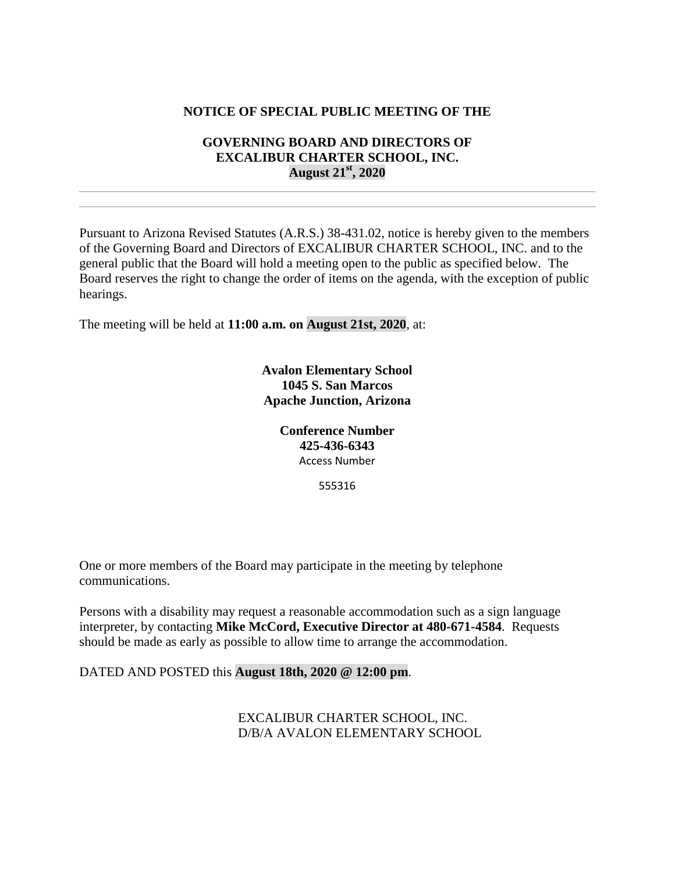## **NOTICE OF SPECIAL PUBLIC MEETING OF THE**

## **GOVERNING BOARD AND DIRECTORS OF EXCALIBUR CHARTER SCHOOL, INC. August 21st, 2020**

Pursuant to Arizona Revised Statutes (A.R.S.) 38-431.02, notice is hereby given to the members of the Governing Board and Directors of EXCALIBUR CHARTER SCHOOL, INC. and to the general public that the Board will hold a meeting open to the public as specified below. The Board reserves the right to change the order of items on the agenda, with the exception of public hearings.

The meeting will be held at **11:00 a.m. on August 21st, 2020**, at:

**Avalon Elementary School 1045 S. San Marcos Apache Junction, Arizona**

> **Conference Number 425-436-6343** Access Number

> > 555316

One or more members of the Board may participate in the meeting by telephone communications.

Persons with a disability may request a reasonable accommodation such as a sign language interpreter, by contacting **Mike McCord, Executive Director at 480-671-4584**. Requests should be made as early as possible to allow time to arrange the accommodation.

#### DATED AND POSTED this **August 18th, 2020 @ 12:00 pm**.

EXCALIBUR CHARTER SCHOOL, INC. D/B/A AVALON ELEMENTARY SCHOOL